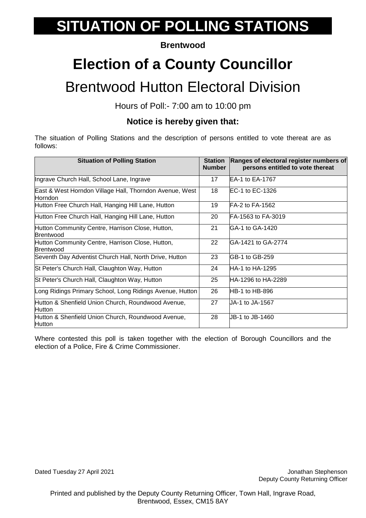#### **Brentwood**

# **Election of a County Councillor**

### Brentwood Hutton Electoral Division

Hours of Poll:- 7:00 am to 10:00 pm

#### **Notice is hereby given that:**

The situation of Polling Stations and the description of persons entitled to vote thereat are as follows:

| <b>Situation of Polling Station</b>                                       | <b>Station</b><br><b>Number</b> | Ranges of electoral register numbers of<br>persons entitled to vote thereat |
|---------------------------------------------------------------------------|---------------------------------|-----------------------------------------------------------------------------|
| Ingrave Church Hall, School Lane, Ingrave                                 | 17                              | EA-1 to EA-1767                                                             |
| East & West Horndon Village Hall, Thorndon Avenue, West<br><b>Horndon</b> | 18                              | EC-1 to EC-1326                                                             |
| Hutton Free Church Hall, Hanging Hill Lane, Hutton                        | 19                              | FA-2 to FA-1562                                                             |
| Hutton Free Church Hall, Hanging Hill Lane, Hutton                        | 20                              | IFA-1563 to FA-3019                                                         |
| Hutton Community Centre, Harrison Close, Hutton,<br><b>Brentwood</b>      | 21                              | GA-1 to GA-1420                                                             |
| Hutton Community Centre, Harrison Close, Hutton,<br>Brentwood             | 22                              | GA-1421 to GA-2774                                                          |
| Seventh Day Adventist Church Hall, North Drive, Hutton                    | 23                              | <b>IGB-1 to GB-259</b>                                                      |
| St Peter's Church Hall, Claughton Way, Hutton                             | 24                              | HA-1 to HA-1295                                                             |
| St Peter's Church Hall, Claughton Way, Hutton                             | 25                              | HA-1296 to HA-2289                                                          |
| Long Ridings Primary School, Long Ridings Avenue, Hutton                  | 26                              | <b>IHB-1 to HB-896</b>                                                      |
| Hutton & Shenfield Union Church, Roundwood Avenue,<br><b>Hutton</b>       | 27                              | JA-1 to JA-1567                                                             |
| Hutton & Shenfield Union Church, Roundwood Avenue,<br>Hutton              | 28                              | UB-1 to JB-1460                                                             |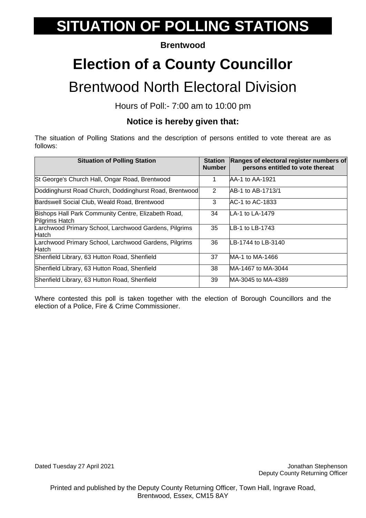#### **Brentwood**

# **Election of a County Councillor**

### Brentwood North Electoral Division

Hours of Poll:- 7:00 am to 10:00 pm

### **Notice is hereby given that:**

The situation of Polling Stations and the description of persons entitled to vote thereat are as follows:

| <b>Situation of Polling Station</b>                                   | <b>Station</b><br><b>Number</b> | Ranges of electoral register numbers of<br>persons entitled to vote thereat |
|-----------------------------------------------------------------------|---------------------------------|-----------------------------------------------------------------------------|
| St George's Church Hall, Ongar Road, Brentwood                        |                                 | AA-1 to AA-1921                                                             |
| Doddinghurst Road Church, Doddinghurst Road, Brentwood                | 2                               | IAB-1 to AB-1713/1                                                          |
| Bardswell Social Club, Weald Road, Brentwood                          | 3                               | AC-1 to AC-1833                                                             |
| Bishops Hall Park Community Centre, Elizabeth Road,<br>Pilgrims Hatch | 34                              | LA-1 to LA-1479                                                             |
| Larchwood Primary School, Larchwood Gardens, Pilgrims<br>Hatch        | 35                              | LB-1 to LB-1743                                                             |
| Larchwood Primary School, Larchwood Gardens, Pilgrims<br>Hatch        | 36                              | LB-1744 to LB-3140                                                          |
| Shenfield Library, 63 Hutton Road, Shenfield                          | 37                              | MA-1 to MA-1466                                                             |
| Shenfield Library, 63 Hutton Road, Shenfield                          | 38                              | MA-1467 to MA-3044                                                          |
| Shenfield Library, 63 Hutton Road, Shenfield                          | 39                              | MA-3045 to MA-4389                                                          |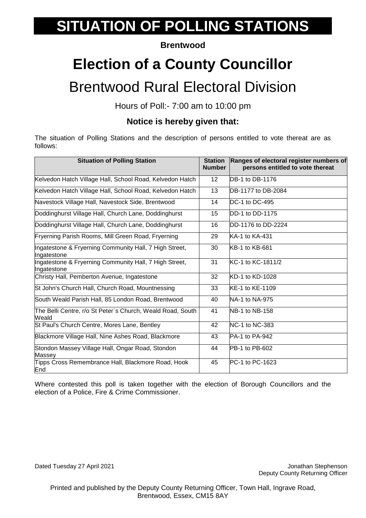#### **Brentwood**

# **Election of a County Councillor**

### Brentwood Rural Electoral Division

Hours of Poll:- 7:00 am to 10:00 pm

### **Notice is hereby given that:**

The situation of Polling Stations and the description of persons entitled to vote thereat are as follows:

| <b>Situation of Polling Station</b>                                   | <b>Station</b><br><b>Number</b> | Ranges of electoral register numbers of<br>persons entitled to vote thereat |
|-----------------------------------------------------------------------|---------------------------------|-----------------------------------------------------------------------------|
| Kelvedon Hatch Village Hall, School Road, Kelvedon Hatch              | 12                              | DB-1 to DB-1176                                                             |
| Kelvedon Hatch Village Hall, School Road, Kelvedon Hatch              | 13                              | DB-1177 to DB-2084                                                          |
| Navestock Village Hall, Navestock Side, Brentwood                     | 14                              | DC-1 to DC-495                                                              |
| Doddinghurst Village Hall, Church Lane, Doddinghurst                  | 15                              | DD-1 to DD-1175                                                             |
| Doddinghurst Village Hall, Church Lane, Doddinghurst                  | 16                              | DD-1176 to DD-2224                                                          |
| Fryerning Parish Rooms, Mill Green Road, Fryerning                    | 29                              | KA-1 to KA-431                                                              |
| Ingatestone & Fryerning Community Hall, 7 High Street,<br>Ingatestone | 30                              | KB-1 to KB-681                                                              |
| Ingatestone & Fryerning Community Hall, 7 High Street,<br>Ingatestone | 31                              | KC-1 to KC-1811/2                                                           |
| Christy Hall, Pemberton Avenue, Ingatestone                           | 32                              | KD-1 to KD-1028                                                             |
| St John's Church Hall, Church Road, Mountnessing                      | 33                              | KE-1 to KE-1109                                                             |
| South Weald Parish Hall, 85 London Road, Brentwood                    | 40                              | NA-1 to NA-975                                                              |
| The Belli Centre, r/o St Peter`s Church, Weald Road, South<br>Weald   | 41                              | NB-1 to NB-158                                                              |
| St Paul's Church Centre, Mores Lane, Bentley                          | 42                              | <b>NC-1 to NC-383</b>                                                       |
| Blackmore Village Hall, Nine Ashes Road, Blackmore                    | 43                              | PA-1 to PA-942                                                              |
| Stondon Massey Village Hall, Ongar Road, Stondon<br>Massey            | 44                              | PB-1 to PB-602                                                              |
| Tipps Cross Remembrance Hall, Blackmore Road, Hook<br>End             | 45                              | PC-1 to PC-1623                                                             |